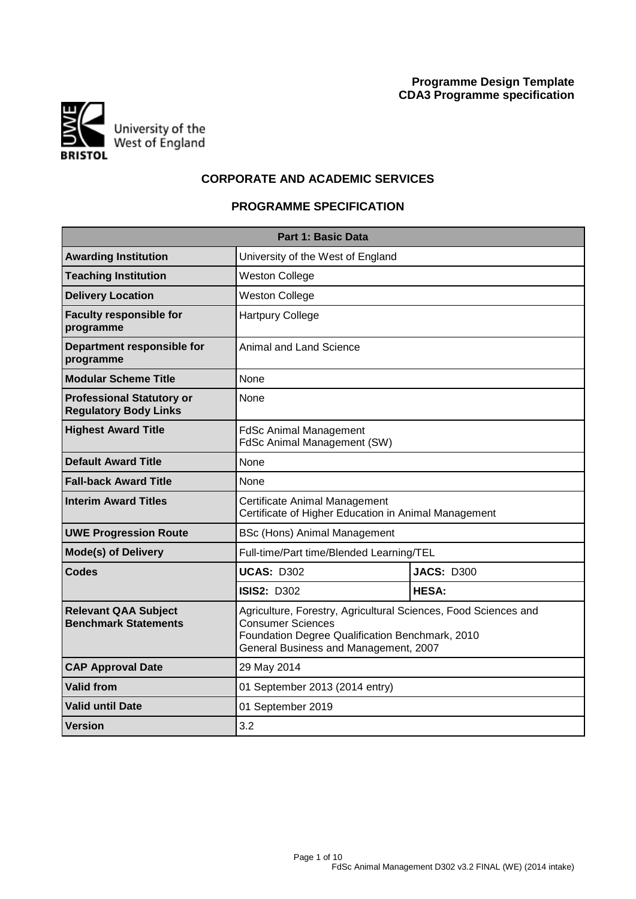

# **CORPORATE AND ACADEMIC SERVICES**

# **PROGRAMME SPECIFICATION**

| <b>Part 1: Basic Data</b>                                        |                                                                                                                                                                                         |                   |  |  |  |  |  |  |
|------------------------------------------------------------------|-----------------------------------------------------------------------------------------------------------------------------------------------------------------------------------------|-------------------|--|--|--|--|--|--|
| <b>Awarding Institution</b><br>University of the West of England |                                                                                                                                                                                         |                   |  |  |  |  |  |  |
| <b>Teaching Institution</b>                                      | <b>Weston College</b>                                                                                                                                                                   |                   |  |  |  |  |  |  |
| <b>Delivery Location</b>                                         | <b>Weston College</b>                                                                                                                                                                   |                   |  |  |  |  |  |  |
| <b>Faculty responsible for</b><br>programme                      | <b>Hartpury College</b>                                                                                                                                                                 |                   |  |  |  |  |  |  |
| Department responsible for<br>programme                          | Animal and Land Science                                                                                                                                                                 |                   |  |  |  |  |  |  |
| <b>Modular Scheme Title</b>                                      | None                                                                                                                                                                                    |                   |  |  |  |  |  |  |
| <b>Professional Statutory or</b><br><b>Regulatory Body Links</b> | None                                                                                                                                                                                    |                   |  |  |  |  |  |  |
| <b>Highest Award Title</b>                                       | <b>FdSc Animal Management</b><br>FdSc Animal Management (SW)                                                                                                                            |                   |  |  |  |  |  |  |
| <b>Default Award Title</b>                                       | None                                                                                                                                                                                    |                   |  |  |  |  |  |  |
| <b>Fall-back Award Title</b>                                     | <b>None</b>                                                                                                                                                                             |                   |  |  |  |  |  |  |
| <b>Interim Award Titles</b>                                      | Certificate Animal Management<br>Certificate of Higher Education in Animal Management                                                                                                   |                   |  |  |  |  |  |  |
| <b>UWE Progression Route</b>                                     | BSc (Hons) Animal Management                                                                                                                                                            |                   |  |  |  |  |  |  |
| <b>Mode(s) of Delivery</b>                                       | Full-time/Part time/Blended Learning/TEL                                                                                                                                                |                   |  |  |  |  |  |  |
| Codes                                                            | <b>UCAS: D302</b>                                                                                                                                                                       | <b>JACS: D300</b> |  |  |  |  |  |  |
|                                                                  | <b>ISIS2: D302</b>                                                                                                                                                                      | <b>HESA:</b>      |  |  |  |  |  |  |
| <b>Relevant QAA Subject</b><br><b>Benchmark Statements</b>       | Agriculture, Forestry, Agricultural Sciences, Food Sciences and<br><b>Consumer Sciences</b><br>Foundation Degree Qualification Benchmark, 2010<br>General Business and Management, 2007 |                   |  |  |  |  |  |  |
| <b>CAP Approval Date</b>                                         | 29 May 2014                                                                                                                                                                             |                   |  |  |  |  |  |  |
| <b>Valid from</b>                                                | 01 September 2013 (2014 entry)                                                                                                                                                          |                   |  |  |  |  |  |  |
| <b>Valid until Date</b>                                          | 01 September 2019                                                                                                                                                                       |                   |  |  |  |  |  |  |
| Version                                                          | 3.2                                                                                                                                                                                     |                   |  |  |  |  |  |  |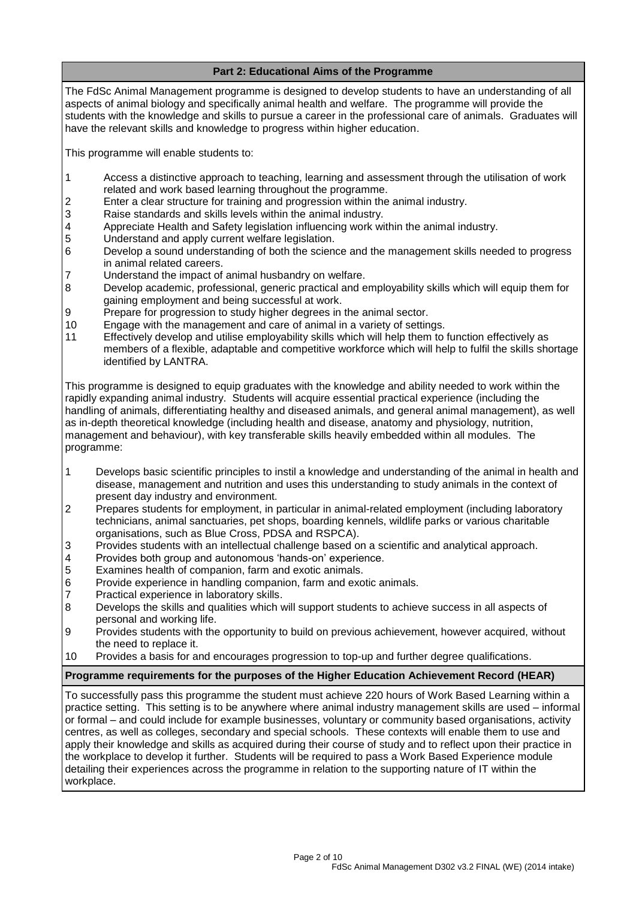# **Part 2: Educational Aims of the Programme**

The FdSc Animal Management programme is designed to develop students to have an understanding of all aspects of animal biology and specifically animal health and welfare. The programme will provide the students with the knowledge and skills to pursue a career in the professional care of animals. Graduates will have the relevant skills and knowledge to progress within higher education.

This programme will enable students to:

- 1 Access a distinctive approach to teaching, learning and assessment through the utilisation of work related and work based learning throughout the programme.
- 2 Enter a clear structure for training and progression within the animal industry.<br>3 Raise standards and skills levels within the animal industry.
- Raise standards and skills levels within the animal industry.
- 4 Appreciate Health and Safety legislation influencing work within the animal industry.<br>5 Understand and apply current welfare legislation.
- Understand and apply current welfare legislation.
- 6 Develop a sound understanding of both the science and the management skills needed to progress in animal related careers.
- 7 Understand the impact of animal husbandry on welfare.
- 8 Develop academic, professional, generic practical and employability skills which will equip them for gaining employment and being successful at work.
- 9 Prepare for progression to study higher degrees in the animal sector.
- 10 Engage with the management and care of animal in a variety of settings.
- 11 Effectively develop and utilise employability skills which will help them to function effectively as members of a flexible, adaptable and competitive workforce which will help to fulfil the skills shortage identified by LANTRA.

This programme is designed to equip graduates with the knowledge and ability needed to work within the rapidly expanding animal industry. Students will acquire essential practical experience (including the handling of animals, differentiating healthy and diseased animals, and general animal management), as well as in-depth theoretical knowledge (including health and disease, anatomy and physiology, nutrition, management and behaviour), with key transferable skills heavily embedded within all modules. The programme:

- 1 Develops basic scientific principles to instil a knowledge and understanding of the animal in health and disease, management and nutrition and uses this understanding to study animals in the context of present day industry and environment.
- 2 Prepares students for employment, in particular in animal-related employment (including laboratory technicians, animal sanctuaries, pet shops, boarding kennels, wildlife parks or various charitable organisations, such as Blue Cross, PDSA and RSPCA).
- 3 Provides students with an intellectual challenge based on a scientific and analytical approach.
- 4 Provides both group and autonomous 'hands-on' experience.<br>5 Examines health of companion, farm and exotic animals.
- Examines health of companion, farm and exotic animals.
- 6 Provide experience in handling companion, farm and exotic animals.
- 7 Practical experience in laboratory skills.
- 8 Develops the skills and qualities which will support students to achieve success in all aspects of personal and working life.
- 9 Provides students with the opportunity to build on previous achievement, however acquired, without the need to replace it.
- 10 Provides a basis for and encourages progression to top-up and further degree qualifications.

## **Programme requirements for the purposes of the Higher Education Achievement Record (HEAR)**

To successfully pass this programme the student must achieve 220 hours of Work Based Learning within a practice setting. This setting is to be anywhere where animal industry management skills are used – informal or formal – and could include for example businesses, voluntary or community based organisations, activity centres, as well as colleges, secondary and special schools. These contexts will enable them to use and apply their knowledge and skills as acquired during their course of study and to reflect upon their practice in the workplace to develop it further. Students will be required to pass a Work Based Experience module detailing their experiences across the programme in relation to the supporting nature of IT within the workplace.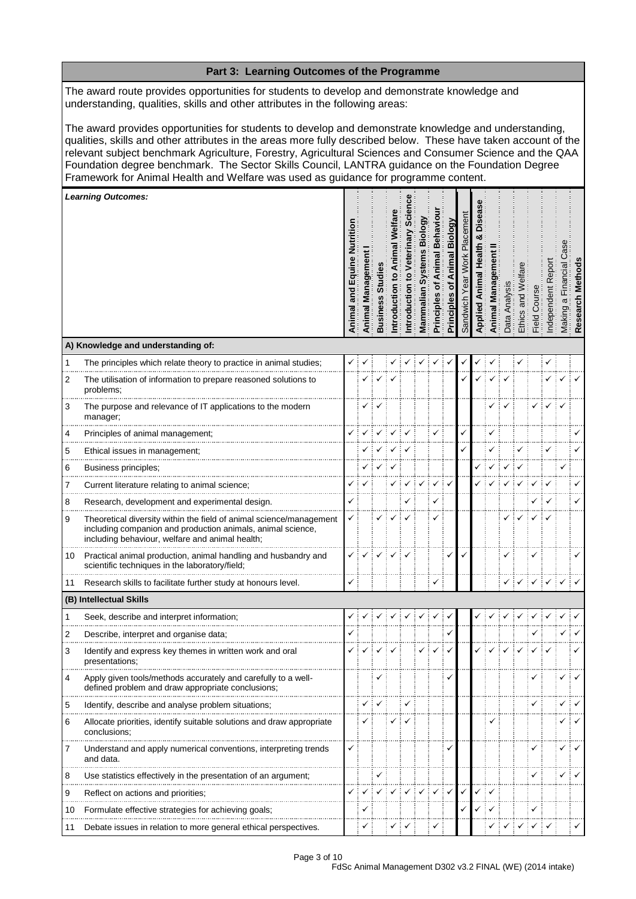|    | Part 3: Learning Outcomes of the Programme                                                                                                                                                                                                                                                                                                                                                                                                                                                                                      |                        |                      |                |             |                      |                         |                                                 |                                             |                          |       |        |              |                    |            |            |                                                 |               |
|----|---------------------------------------------------------------------------------------------------------------------------------------------------------------------------------------------------------------------------------------------------------------------------------------------------------------------------------------------------------------------------------------------------------------------------------------------------------------------------------------------------------------------------------|------------------------|----------------------|----------------|-------------|----------------------|-------------------------|-------------------------------------------------|---------------------------------------------|--------------------------|-------|--------|--------------|--------------------|------------|------------|-------------------------------------------------|---------------|
|    | The award route provides opportunities for students to develop and demonstrate knowledge and<br>understanding, qualities, skills and other attributes in the following areas:                                                                                                                                                                                                                                                                                                                                                   |                        |                      |                |             |                      |                         |                                                 |                                             |                          |       |        |              |                    |            |            |                                                 |               |
|    | The award provides opportunities for students to develop and demonstrate knowledge and understanding,<br>qualities, skills and other attributes in the areas more fully described below. These have taken account of the<br>relevant subject benchmark Agriculture, Forestry, Agricultural Sciences and Consumer Science and the QAA<br>Foundation degree benchmark. The Sector Skills Council, LANTRA guidance on the Foundation Degree<br>Framework for Animal Health and Welfare was used as guidance for programme content. |                        |                      |                |             |                      |                         |                                                 |                                             |                          |       |        |              |                    |            |            |                                                 |               |
|    | <b>Learning Outcomes:</b>                                                                                                                                                                                                                                                                                                                                                                                                                                                                                                       |                        |                      |                |             |                      |                         |                                                 |                                             |                          |       |        |              |                    |            |            |                                                 |               |
|    |                                                                                                                                                                                                                                                                                                                                                                                                                                                                                                                                 | Equin<br>and<br>Animal | Managerr<br>Animal I | <b>Busines</b> | ntroduction | inary<br>ntroduction | Biol<br>ဖာ<br>Mammalian | <b>Behavi</b><br>imal<br>ð<br><b>Principles</b> | <b>Biology</b><br>Animal<br>৳<br>Principles | acement<br>ᇟ<br>Sandwich | Appli | Animal | Anal<br>Data | and<br>a<br>Ethics | Field Cour | ndependent | $\overline{\overline{c}}$<br>$\varpi$<br>Making | Method<br>Res |
|    | A) Knowledge and understanding of:                                                                                                                                                                                                                                                                                                                                                                                                                                                                                              |                        |                      |                |             |                      |                         |                                                 |                                             |                          |       |        |              |                    |            |            |                                                 |               |
| 1  | The principles which relate theory to practice in animal studies;                                                                                                                                                                                                                                                                                                                                                                                                                                                               |                        |                      |                |             |                      |                         |                                                 |                                             |                          |       |        |              |                    |            |            |                                                 |               |
| 2  | The utilisation of information to prepare reasoned solutions to<br>problems;                                                                                                                                                                                                                                                                                                                                                                                                                                                    |                        |                      |                |             |                      |                         |                                                 |                                             |                          |       |        |              |                    |            |            |                                                 |               |
| 3  | The purpose and relevance of IT applications to the modern<br>manager;                                                                                                                                                                                                                                                                                                                                                                                                                                                          |                        |                      |                |             |                      |                         |                                                 |                                             |                          |       |        |              |                    |            |            |                                                 |               |
| 4  | Principles of animal management;                                                                                                                                                                                                                                                                                                                                                                                                                                                                                                |                        |                      |                |             |                      |                         |                                                 |                                             |                          |       |        |              |                    |            |            |                                                 |               |
| 5  | Ethical issues in management;                                                                                                                                                                                                                                                                                                                                                                                                                                                                                                   |                        |                      |                |             |                      |                         |                                                 |                                             |                          |       |        |              |                    |            |            |                                                 |               |
| 6  | Business principles;                                                                                                                                                                                                                                                                                                                                                                                                                                                                                                            |                        |                      |                |             |                      |                         |                                                 |                                             |                          |       |        |              |                    |            |            |                                                 |               |
| 7  | Current literature relating to animal science;                                                                                                                                                                                                                                                                                                                                                                                                                                                                                  | ✓                      |                      |                |             |                      |                         |                                                 |                                             |                          |       |        |              |                    |            |            |                                                 |               |
| 8  | Research, development and experimental design.                                                                                                                                                                                                                                                                                                                                                                                                                                                                                  |                        |                      |                |             |                      |                         | ✓                                               |                                             |                          |       |        |              |                    |            |            |                                                 |               |
| 9  | Theoretical diversity within the field of animal science/management<br>including companion and production animals, animal science,<br>including behaviour, welfare and animal health;                                                                                                                                                                                                                                                                                                                                           | ✓                      |                      |                |             |                      |                         | ✓                                               |                                             |                          |       |        |              |                    |            |            |                                                 |               |
| 10 | Practical animal production, animal handling and husbandry and<br>scientific techniques in the laboratory/field;                                                                                                                                                                                                                                                                                                                                                                                                                |                        |                      |                |             |                      |                         |                                                 |                                             |                          |       |        |              |                    |            |            |                                                 |               |
| 11 | Research skills to facilitate further study at honours level.                                                                                                                                                                                                                                                                                                                                                                                                                                                                   | ✓                      |                      |                |             |                      |                         | ✓                                               |                                             |                          |       |        |              |                    |            |            |                                                 |               |
|    | (B) Intellectual Skills                                                                                                                                                                                                                                                                                                                                                                                                                                                                                                         |                        |                      |                |             |                      |                         |                                                 |                                             |                          |       |        |              |                    |            |            |                                                 |               |
| 1  | Seek, describe and interpret information;                                                                                                                                                                                                                                                                                                                                                                                                                                                                                       |                        |                      |                |             |                      |                         |                                                 |                                             |                          |       |        |              |                    |            |            |                                                 |               |
| 2  | Describe, interpret and organise data;                                                                                                                                                                                                                                                                                                                                                                                                                                                                                          |                        |                      |                |             |                      |                         |                                                 |                                             |                          |       |        |              |                    |            |            |                                                 |               |
| 3  | Identify and express key themes in written work and oral<br>presentations;                                                                                                                                                                                                                                                                                                                                                                                                                                                      |                        |                      |                |             |                      |                         |                                                 |                                             |                          |       |        |              |                    |            |            |                                                 |               |
| 4  | Apply given tools/methods accurately and carefully to a well-<br>defined problem and draw appropriate conclusions;                                                                                                                                                                                                                                                                                                                                                                                                              |                        |                      |                |             |                      |                         |                                                 |                                             |                          |       |        |              |                    |            |            |                                                 |               |
| 5  | Identify, describe and analyse problem situations;                                                                                                                                                                                                                                                                                                                                                                                                                                                                              |                        |                      |                |             |                      |                         |                                                 |                                             |                          |       |        |              |                    |            |            |                                                 |               |
| 6  | Allocate priorities, identify suitable solutions and draw appropriate<br>conclusions;                                                                                                                                                                                                                                                                                                                                                                                                                                           |                        |                      |                |             |                      |                         |                                                 |                                             |                          |       |        |              |                    |            |            |                                                 |               |
| 7  | Understand and apply numerical conventions, interpreting trends<br>and data.                                                                                                                                                                                                                                                                                                                                                                                                                                                    |                        |                      |                |             |                      |                         |                                                 |                                             |                          |       |        |              |                    |            |            |                                                 |               |
| 8  | Use statistics effectively in the presentation of an argument;                                                                                                                                                                                                                                                                                                                                                                                                                                                                  |                        |                      |                |             |                      |                         |                                                 |                                             |                          |       |        |              |                    |            |            |                                                 |               |
| 9  | Reflect on actions and priorities;                                                                                                                                                                                                                                                                                                                                                                                                                                                                                              |                        |                      |                |             |                      |                         |                                                 | $\checkmark$                                |                          |       | ✓      |              |                    |            |            |                                                 |               |
| 10 | Formulate effective strategies for achieving goals;                                                                                                                                                                                                                                                                                                                                                                                                                                                                             |                        | ✓                    |                |             |                      |                         |                                                 |                                             |                          |       |        |              |                    | ✓          |            |                                                 |               |
| 11 | Debate issues in relation to more general ethical perspectives.                                                                                                                                                                                                                                                                                                                                                                                                                                                                 |                        | ✓                    |                |             |                      |                         |                                                 |                                             |                          |       |        |              |                    | ✓          |            |                                                 |               |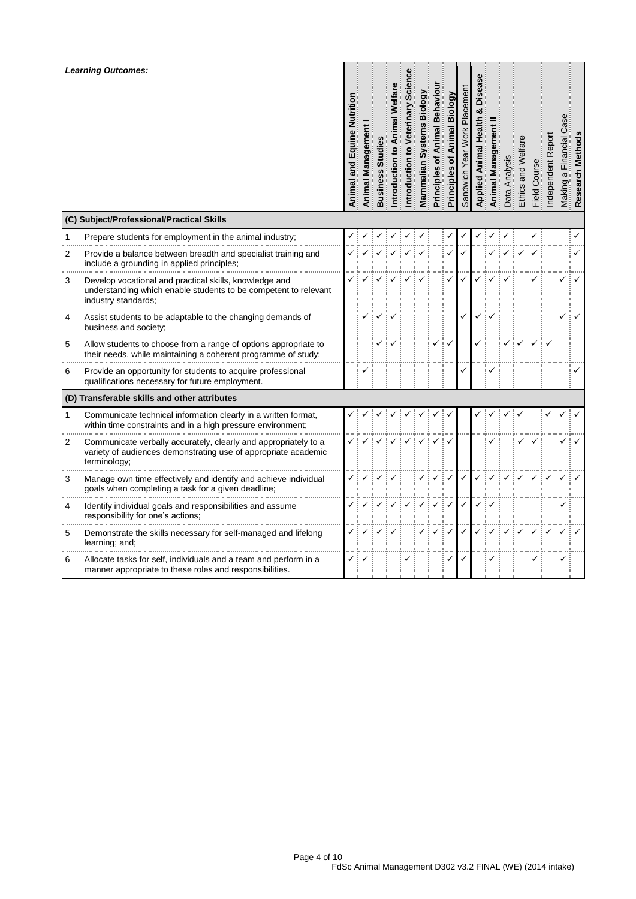|              | <b>Learning Outcomes:</b><br>(C) Subject/Professional/Practical Skills                                                                            | Nutritior<br>and Equine<br>Animal | Animal Managem | Busines | ntroduction | ntroduction | iol<br>Mammalian | Behavi<br>mal<br>ō<br>Principles | Biology<br>Animal<br>৳<br>Principles | jigqi | mal | ಸ | Ethics | <b>Field</b> | ω<br>ð<br>ब<br>ब |  |
|--------------|---------------------------------------------------------------------------------------------------------------------------------------------------|-----------------------------------|----------------|---------|-------------|-------------|------------------|----------------------------------|--------------------------------------|-------|-----|---|--------|--------------|------------------|--|
| $\mathbf{1}$ | Prepare students for employment in the animal industry;                                                                                           |                                   |                |         |             |             |                  |                                  |                                      |       |     |   |        |              |                  |  |
| 2            | Provide a balance between breadth and specialist training and<br>include a grounding in applied principles;                                       |                                   |                |         |             |             |                  |                                  |                                      |       |     |   |        |              |                  |  |
| 3            | Develop vocational and practical skills, knowledge and<br>understanding which enable students to be competent to relevant<br>industry standards:  |                                   |                |         |             |             |                  |                                  |                                      |       |     |   |        |              |                  |  |
| 4            | Assist students to be adaptable to the changing demands of<br>business and society;                                                               |                                   |                |         |             |             |                  |                                  |                                      |       |     |   |        |              |                  |  |
| 5            | Allow students to choose from a range of options appropriate to<br>their needs, while maintaining a coherent programme of study;                  |                                   |                |         |             |             |                  |                                  |                                      |       |     |   |        |              |                  |  |
| 6            | Provide an opportunity for students to acquire professional<br>qualifications necessary for future employment.                                    |                                   | ٧              |         |             |             |                  |                                  |                                      |       |     |   |        |              |                  |  |
|              | (D) Transferable skills and other attributes                                                                                                      |                                   |                |         |             |             |                  |                                  |                                      |       |     |   |        |              |                  |  |
| 1            | Communicate technical information clearly in a written format,<br>within time constraints and in a high pressure environment;                     |                                   |                |         |             |             |                  |                                  |                                      |       |     |   |        |              |                  |  |
| 2            | Communicate verbally accurately, clearly and appropriately to a<br>variety of audiences demonstrating use of appropriate academic<br>terminology; |                                   |                |         |             |             |                  |                                  |                                      |       |     |   |        |              |                  |  |
| 3            | Manage own time effectively and identify and achieve individual<br>goals when completing a task for a given deadline;                             |                                   |                |         |             |             |                  |                                  |                                      |       |     |   |        |              |                  |  |
| 4            | Identify individual goals and responsibilities and assume<br>responsibility for one's actions;                                                    |                                   |                |         |             |             |                  |                                  |                                      |       |     |   |        |              |                  |  |
| 5            | Demonstrate the skills necessary for self-managed and lifelong<br>learning; and;                                                                  |                                   |                |         |             |             |                  |                                  |                                      |       |     |   |        |              |                  |  |
| 6            | Allocate tasks for self, individuals and a team and perform in a<br>manner appropriate to these roles and responsibilities.                       | ✓                                 |                |         |             |             |                  |                                  |                                      |       |     |   |        | ✓            |                  |  |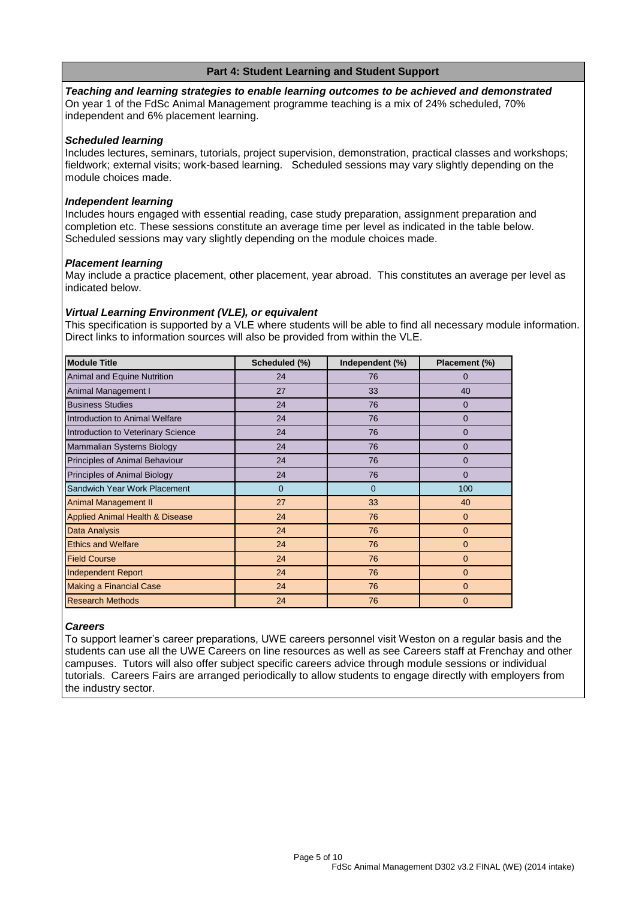# **Part 4: Student Learning and Student Support**

*Teaching and learning strategies to enable learning outcomes to be achieved and demonstrated* On year 1 of the FdSc Animal Management programme teaching is a mix of 24% scheduled, 70% independent and 6% placement learning.

### *Scheduled learning*

Includes lectures, seminars, tutorials, project supervision, demonstration, practical classes and workshops; fieldwork; external visits; work-based learning. Scheduled sessions may vary slightly depending on the module choices made.

### *Independent learning*

Includes hours engaged with essential reading, case study preparation, assignment preparation and completion etc. These sessions constitute an average time per level as indicated in the table below. Scheduled sessions may vary slightly depending on the module choices made.

### *Placement learning*

May include a practice placement, other placement, year abroad. This constitutes an average per level as indicated below.

### *Virtual Learning Environment (VLE), or equivalent*

This specification is supported by a VLE where students will be able to find all necessary module information. Direct links to information sources will also be provided from within the VLE.

| <b>Module Title</b>                        | Scheduled (%)  | Independent (%) | Placement (%) |
|--------------------------------------------|----------------|-----------------|---------------|
| Animal and Equine Nutrition                | 24             | 76              | 0             |
| Animal Management I                        | 27             | 33              | 40            |
| <b>Business Studies</b>                    | 24             | 76              | $\mathbf{0}$  |
| Introduction to Animal Welfare             | 24             | 76              | $\mathbf{0}$  |
| Introduction to Veterinary Science         | 24             | 76              | $\Omega$      |
| Mammalian Systems Biology                  | 24             | 76              | 0             |
| Principles of Animal Behaviour             | 24             | 76              | 0             |
| Principles of Animal Biology               | 24             | 76              | $\Omega$      |
| Sandwich Year Work Placement               | $\overline{0}$ | $\mathbf{0}$    | 100           |
| <b>Animal Management II</b>                | 27             | 33              | 40            |
| <b>Applied Animal Health &amp; Disease</b> | 24             | 76              | $\mathbf 0$   |
| Data Analysis                              | 24             | 76              | $\mathbf{0}$  |
| <b>Ethics and Welfare</b>                  | 24             | 76              | $\mathbf{0}$  |
| <b>Field Course</b>                        | 24             | 76              | $\mathbf{0}$  |
| <b>Independent Report</b>                  | 24             | 76              | $\mathbf{0}$  |
| <b>Making a Financial Case</b>             | 24             | 76              | $\Omega$      |
| <b>Research Methods</b>                    | 24             | 76              | $\mathbf{0}$  |

#### *Careers*

To support learner's career preparations, UWE careers personnel visit Weston on a regular basis and the students can use all the UWE Careers on line resources as well as see Careers staff at Frenchay and other campuses. Tutors will also offer subject specific careers advice through module sessions or individual tutorials. Careers Fairs are arranged periodically to allow students to engage directly with employers from the industry sector.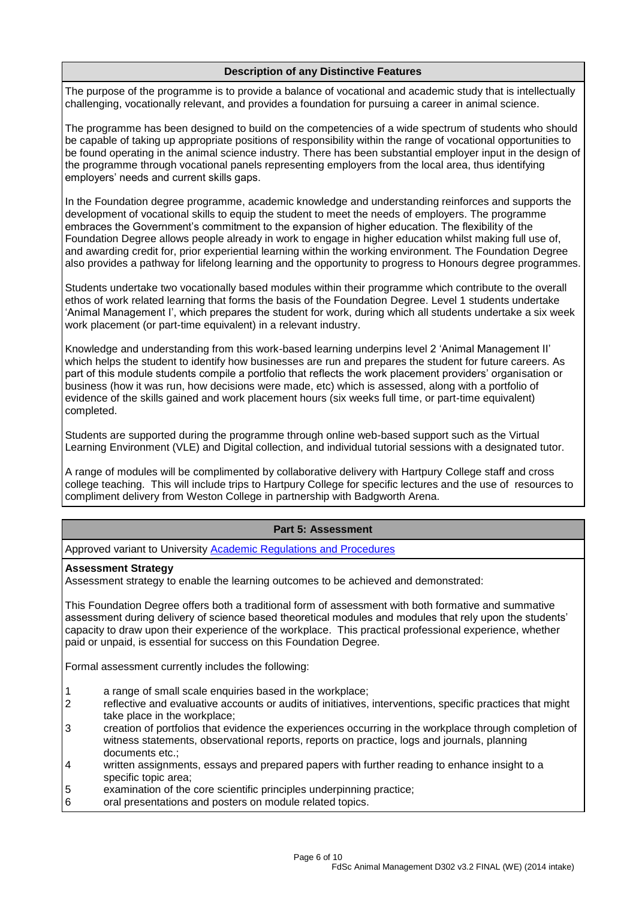# **Description of any Distinctive Features**

The purpose of the programme is to provide a balance of vocational and academic study that is intellectually challenging, vocationally relevant, and provides a foundation for pursuing a career in animal science.

The programme has been designed to build on the competencies of a wide spectrum of students who should be capable of taking up appropriate positions of responsibility within the range of vocational opportunities to be found operating in the animal science industry. There has been substantial employer input in the design of the programme through vocational panels representing employers from the local area, thus identifying employers' needs and current skills gaps.

In the Foundation degree programme, academic knowledge and understanding reinforces and supports the development of vocational skills to equip the student to meet the needs of employers. The programme embraces the Government's commitment to the expansion of higher education. The flexibility of the Foundation Degree allows people already in work to engage in higher education whilst making full use of, and awarding credit for, prior experiential learning within the working environment. The Foundation Degree also provides a pathway for lifelong learning and the opportunity to progress to Honours degree programmes.

Students undertake two vocationally based modules within their programme which contribute to the overall ethos of work related learning that forms the basis of the Foundation Degree. Level 1 students undertake 'Animal Management I', which prepares the student for work, during which all students undertake a six week work placement (or part-time equivalent) in a relevant industry.

Knowledge and understanding from this work-based learning underpins level 2 'Animal Management II' which helps the student to identify how businesses are run and prepares the student for future careers. As part of this module students compile a portfolio that reflects the work placement providers' organisation or business (how it was run, how decisions were made, etc) which is assessed, along with a portfolio of evidence of the skills gained and work placement hours (six weeks full time, or part-time equivalent) completed.

Students are supported during the programme through online web-based support such as the Virtual Learning Environment (VLE) and Digital collection, and individual tutorial sessions with a designated tutor.

A range of modules will be complimented by collaborative delivery with Hartpury College staff and cross college teaching. This will include trips to Hartpury College for specific lectures and the use of resources to compliment delivery from Weston College in partnership with Badgworth Arena.

## **Part 5: Assessment**

Approved variant to University [Academic Regulations and Procedures](http://www1.uwe.ac.uk/students/academicadvice/assessments/regulationsandprocedures.aspx)

#### **Assessment Strategy**

Assessment strategy to enable the learning outcomes to be achieved and demonstrated:

This Foundation Degree offers both a traditional form of assessment with both formative and summative assessment during delivery of science based theoretical modules and modules that rely upon the students' capacity to draw upon their experience of the workplace. This practical professional experience, whether paid or unpaid, is essential for success on this Foundation Degree.

Formal assessment currently includes the following:

- 1 a range of small scale enquiries based in the workplace;
- 2 reflective and evaluative accounts or audits of initiatives, interventions, specific practices that might take place in the workplace;
- 3 creation of portfolios that evidence the experiences occurring in the workplace through completion of witness statements, observational reports, reports on practice, logs and journals, planning documents etc.;
- 4 written assignments, essays and prepared papers with further reading to enhance insight to a specific topic area;
- 5 examination of the core scientific principles underpinning practice;<br>6 oral presentations and posters on module related topics.
- oral presentations and posters on module related topics.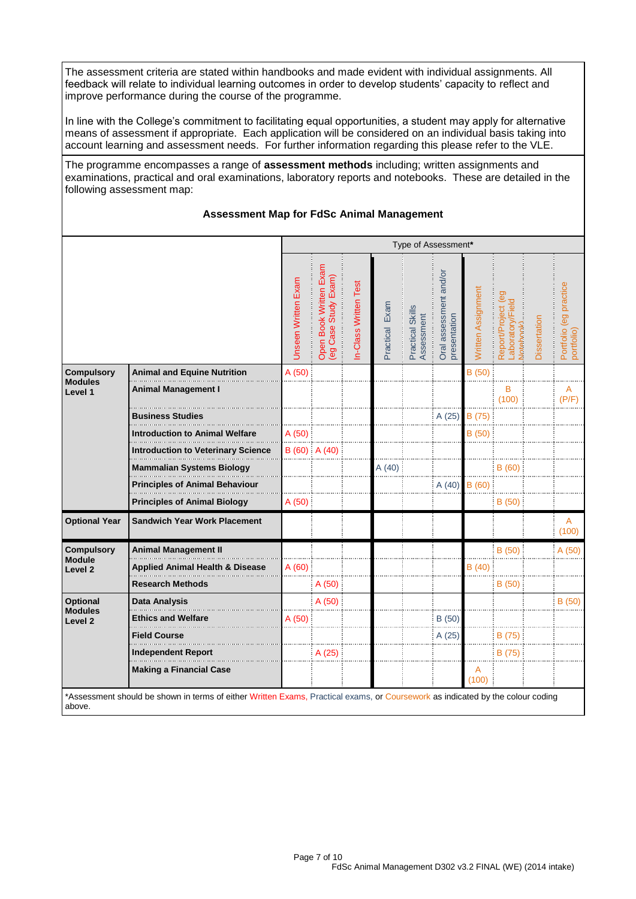The assessment criteria are stated within handbooks and made evident with individual assignments. All feedback will relate to individual learning outcomes in order to develop students' capacity to reflect and improve performance during the course of the programme.

In line with the College's commitment to facilitating equal opportunities, a student may apply for alternative means of assessment if appropriate. Each application will be considered on an individual basis taking into account learning and assessment needs. For further information regarding this please refer to the VLE.

The programme encompasses a range of **assessment methods** including; written assignments and examinations, practical and oral examinations, laboratory reports and notebooks. These are detailed in the following assessment map:

### **Assessment Map for FdSc Animal Management**

|                                     |                                           |                     | Type of Assessment*                                  |                      |                |                                |                                        |                    |                                                            |              |                                      |
|-------------------------------------|-------------------------------------------|---------------------|------------------------------------------------------|----------------------|----------------|--------------------------------|----------------------------------------|--------------------|------------------------------------------------------------|--------------|--------------------------------------|
|                                     |                                           | Unseen Written Exam | Exam<br>Exam)<br>Open Book Written<br>(eg Case Study | n-Class Written Test | Practical Exam | Practical Skills<br>Assessment | Oral assessment and/or<br>presentation | Written Assignment | eg<br>_aboratory/Fiel<br>Report/Project<br><b>Motebook</b> | Dissertation | Portfolio (eg practice<br>portfolio) |
| <b>Compulsory</b>                   | <b>Animal and Equine Nutrition</b>        | A(50)               |                                                      |                      |                |                                |                                        | B(50)              |                                                            |              |                                      |
| <b>Modules</b><br>Level 1           | <b>Animal Management I</b>                |                     |                                                      |                      |                |                                |                                        |                    | B<br>(100)                                                 |              | A<br>(P/F)                           |
|                                     | <b>Business Studies</b>                   |                     |                                                      |                      |                |                                | A (25)                                 | B (75)             |                                                            |              |                                      |
|                                     | <b>Introduction to Animal Welfare</b>     | A (50)              |                                                      |                      |                |                                |                                        | B(50)              |                                                            |              |                                      |
|                                     | <b>Introduction to Veterinary Science</b> |                     | $B(60)$ A $(40)$                                     |                      |                |                                |                                        |                    |                                                            |              |                                      |
|                                     | <b>Mammalian Systems Biology</b>          |                     |                                                      |                      | A(40)          |                                |                                        |                    | <b>B</b> (60)                                              |              |                                      |
|                                     | <b>Principles of Animal Behaviour</b>     |                     |                                                      |                      |                |                                | A(40)                                  | B(60)              |                                                            |              |                                      |
|                                     | <b>Principles of Animal Biology</b>       | A(50)               |                                                      |                      |                |                                |                                        |                    | B(50)                                                      |              |                                      |
| <b>Optional Year</b>                | <b>Sandwich Year Work Placement</b>       |                     |                                                      |                      |                |                                |                                        |                    |                                                            |              | A<br>(100)                           |
| <b>Compulsory</b>                   | <b>Animal Management II</b>               |                     |                                                      |                      |                |                                |                                        |                    | B(50)                                                      |              | A(50)                                |
| <b>Module</b><br>Level <sub>2</sub> | Applied Animal Health & Disease           | A (60)              |                                                      |                      |                |                                |                                        | B(40)              |                                                            |              |                                      |
|                                     | <b>Research Methods</b>                   |                     | A(50)                                                |                      |                |                                |                                        |                    | B (50)                                                     |              |                                      |
| <b>Optional</b><br><b>Modules</b>   | Data Analysis                             |                     | A(50)                                                |                      |                |                                |                                        |                    |                                                            |              | B(50)                                |
| Level <sub>2</sub>                  | <b>Ethics and Welfare</b>                 | A (50)              |                                                      |                      |                |                                | B(50)                                  |                    |                                                            |              |                                      |
|                                     | <b>Field Course</b>                       |                     |                                                      |                      |                |                                | A(25)                                  |                    | B (75)                                                     |              |                                      |
|                                     | <b>Independent Report</b>                 |                     | A (25)                                               |                      |                |                                |                                        |                    | B (75)                                                     |              |                                      |
|                                     | <b>Making a Financial Case</b>            |                     |                                                      |                      |                |                                |                                        | A<br>(100)         |                                                            |              |                                      |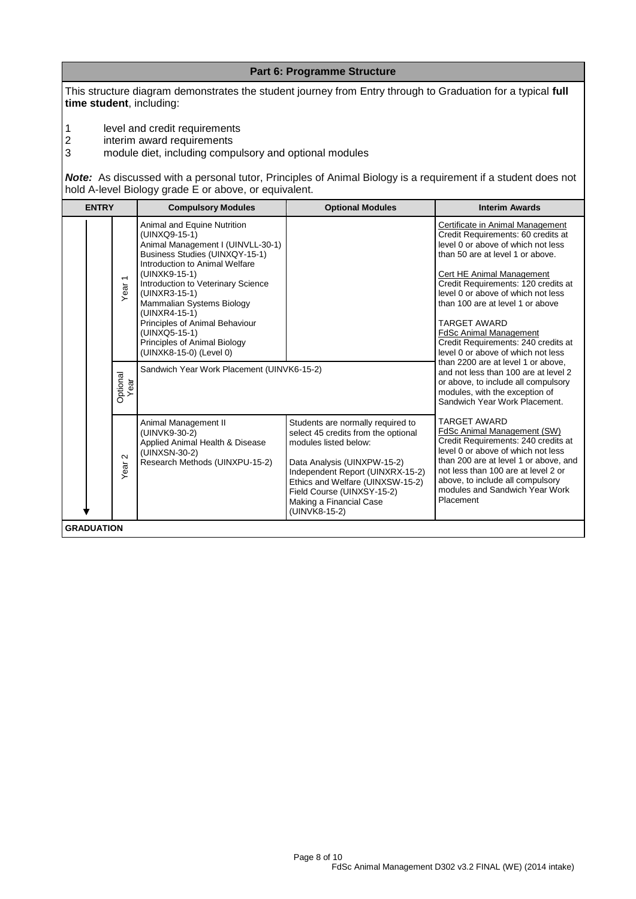This structure diagram demonstrates the student journey from Entry through to Graduation for a typical **full time student**, including:

**Part 6: Programme Structure**

1 level and credit requirements<br>
2 interim award requirements<br>
3 module diet, including compu

interim award requirements

3 module diet, including compulsory and optional modules

*Note:*As discussed with a personal tutor, Principles of Animal Biology is a requirement if a student does not hold A-level Biology grade E or above, or equivalent.

| <b>ENTRY</b>      | <b>Compulsory Modules</b>                                                                                                                                                                                                                                                                                                                                                                 | <b>Optional Modules</b>                                                                                                                                                                                                                                                            | <b>Interim Awards</b>                                                                                                                                                                                                                                                                                                                                                                                                                                                     |
|-------------------|-------------------------------------------------------------------------------------------------------------------------------------------------------------------------------------------------------------------------------------------------------------------------------------------------------------------------------------------------------------------------------------------|------------------------------------------------------------------------------------------------------------------------------------------------------------------------------------------------------------------------------------------------------------------------------------|---------------------------------------------------------------------------------------------------------------------------------------------------------------------------------------------------------------------------------------------------------------------------------------------------------------------------------------------------------------------------------------------------------------------------------------------------------------------------|
| Year <sub>1</sub> | Animal and Equine Nutrition<br>(UINXQ9-15-1)<br>Animal Management I (UINVLL-30-1)<br>Business Studies (UINXQY-15-1)<br>Introduction to Animal Welfare<br>(UINXK9-15-1)<br>Introduction to Veterinary Science<br>(UINXR3-15-1)<br>Mammalian Systems Biology<br>(UINXR4-15-1)<br>Principles of Animal Behaviour<br>(UINXQ5-15-1)<br>Principles of Animal Biology<br>(UINXK8-15-0) (Level 0) |                                                                                                                                                                                                                                                                                    | Certificate in Animal Management<br>Credit Requirements: 60 credits at<br>level 0 or above of which not less<br>than 50 are at level 1 or above.<br>Cert HE Animal Management<br>Credit Requirements: 120 credits at<br>level 0 or above of which not less<br>than 100 are at level 1 or above<br><b>TARGET AWARD</b><br><b>FdSc Animal Management</b><br>Credit Requirements: 240 credits at<br>level 0 or above of which not less<br>than 2200 are at level 1 or above. |
| Optional<br>Year  | Sandwich Year Work Placement (UINVK6-15-2)                                                                                                                                                                                                                                                                                                                                                |                                                                                                                                                                                                                                                                                    | and not less than 100 are at level 2<br>or above, to include all compulsory<br>modules, with the exception of<br>Sandwich Year Work Placement.                                                                                                                                                                                                                                                                                                                            |
| $\sim$<br>Year    | Animal Management II<br>(UINVK9-30-2)<br>Applied Animal Health & Disease<br>(UINXSN-30-2)<br>Research Methods (UINXPU-15-2)                                                                                                                                                                                                                                                               | Students are normally required to<br>select 45 credits from the optional<br>modules listed below:<br>Data Analysis (UINXPW-15-2)<br>Independent Report (UINXRX-15-2)<br>Ethics and Welfare (UINXSW-15-2)<br>Field Course (UINXSY-15-2)<br>Making a Financial Case<br>(UINVK8-15-2) | <b>TARGET AWARD</b><br><b>FdSc Animal Management (SW)</b><br>Credit Requirements: 240 credits at<br>level 0 or above of which not less<br>than 200 are at level 1 or above, and<br>not less than 100 are at level 2 or<br>above, to include all compulsory<br>modules and Sandwich Year Work<br>Placement                                                                                                                                                                 |
| <b>GRADUATION</b> |                                                                                                                                                                                                                                                                                                                                                                                           |                                                                                                                                                                                                                                                                                    |                                                                                                                                                                                                                                                                                                                                                                                                                                                                           |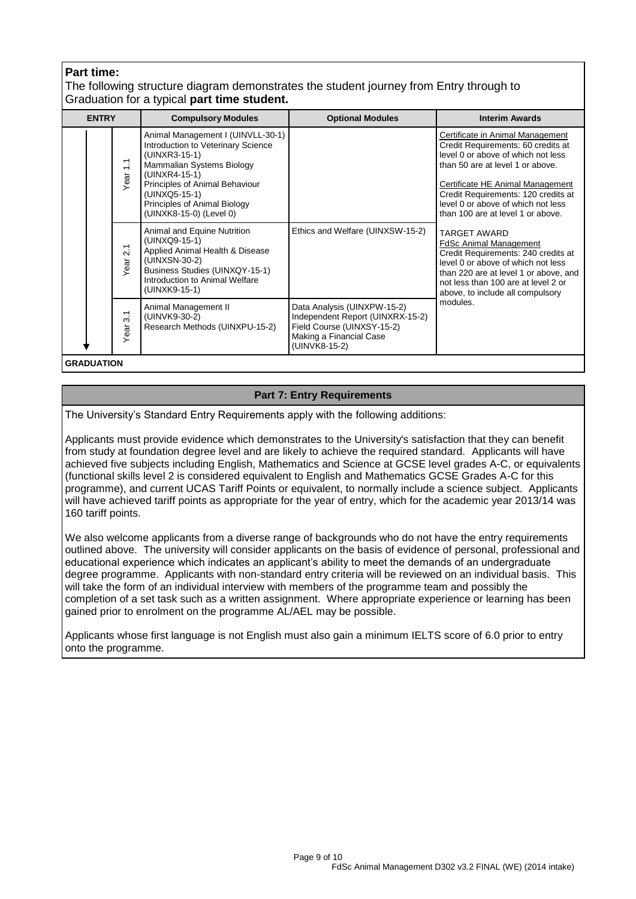# **Part time:**

The following structure diagram demonstrates the student journey from Entry through to Graduation for a typical **part time student.**

| <b>ENTRY</b>                                                | <b>Compulsory Modules</b>                                                                                                                                                                                                                            | <b>Optional Modules</b>                                                                                                                   | <b>Interim Awards</b>                                                                                                                                                                                                                                                                                  |
|-------------------------------------------------------------|------------------------------------------------------------------------------------------------------------------------------------------------------------------------------------------------------------------------------------------------------|-------------------------------------------------------------------------------------------------------------------------------------------|--------------------------------------------------------------------------------------------------------------------------------------------------------------------------------------------------------------------------------------------------------------------------------------------------------|
| $\tilde{\cdot}$<br>Year                                     | Animal Management I (UINVLL-30-1)<br>Introduction to Veterinary Science<br>(UINXR3-15-1)<br>Mammalian Systems Biology<br>(UINXR4-15-1)<br>Principles of Animal Behaviour<br>(UINXQ5-15-1)<br>Principles of Animal Biology<br>(UINXK8-15-0) (Level 0) |                                                                                                                                           | Certificate in Animal Management<br>Credit Requirements: 60 credits at<br>level 0 or above of which not less<br>than 50 are at level 1 or above.<br>Certificate HE Animal Management<br>Credit Requirements: 120 credits at<br>level 0 or above of which not less<br>than 100 are at level 1 or above. |
| $\overline{\phantom{0}}$<br>$\overline{\mathsf{N}}$<br>Year | Animal and Equine Nutrition<br>(UINXQ9-15-1)<br>Applied Animal Health & Disease<br>(UINXSN-30-2)<br>Business Studies (UINXQY-15-1)<br>Introduction to Animal Welfare<br>(UINXK9-15-1)                                                                | Ethics and Welfare (UINXSW-15-2)                                                                                                          | <b>TARGET AWARD</b><br><b>FdSc Animal Management</b><br>Credit Requirements: 240 credits at<br>level 0 or above of which not less<br>than 220 are at level 1 or above, and<br>not less than 100 are at level 2 or<br>above, to include all compulsory                                                  |
| $\overline{3}$<br>Year                                      | Animal Management II<br>(UINVK9-30-2)<br>Research Methods (UINXPU-15-2)                                                                                                                                                                              | Data Analysis (UINXPW-15-2)<br>Independent Report (UINXRX-15-2)<br>Field Course (UINXSY-15-2)<br>Making a Financial Case<br>(UINVK8-15-2) | modules.                                                                                                                                                                                                                                                                                               |

**GRADUATION**

# **Part 7: Entry Requirements**

The University's Standard Entry Requirements apply with the following additions:

Applicants must provide evidence which demonstrates to the University's satisfaction that they can benefit from study at foundation degree level and are likely to achieve the required standard. Applicants will have achieved five subjects including English, Mathematics and Science at GCSE level grades A-C, or equivalents (functional skills level 2 is considered equivalent to English and Mathematics GCSE Grades A-C for this programme), and current UCAS Tariff Points or equivalent, to normally include a science subject. Applicants will have achieved tariff points as appropriate for the year of entry, which for the academic year 2013/14 was 160 tariff points.

We also welcome applicants from a diverse range of backgrounds who do not have the entry requirements outlined above. The university will consider applicants on the basis of evidence of personal, professional and educational experience which indicates an applicant's ability to meet the demands of an undergraduate degree programme. Applicants with non-standard entry criteria will be reviewed on an individual basis. This will take the form of an individual interview with members of the programme team and possibly the completion of a set task such as a written assignment. Where appropriate experience or learning has been gained prior to enrolment on the programme AL/AEL may be possible.

Applicants whose first language is not English must also gain a minimum IELTS score of 6.0 prior to entry onto the programme.